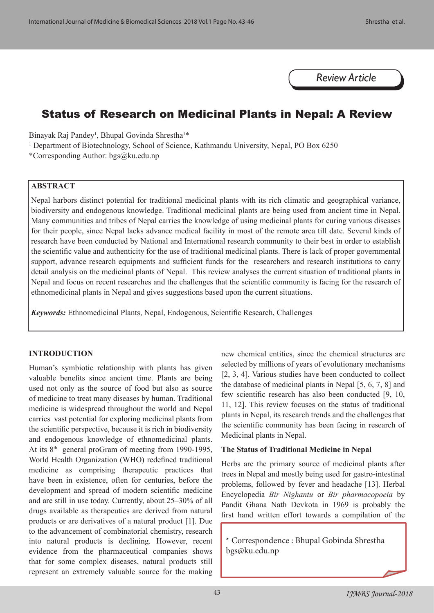*Review Article*

# Status of Research on Medicinal Plants in Nepal: A Review

Binayak Raj Pandey<sup>1</sup>, Bhupal Govinda Shrestha<sup>1\*</sup>

<sup>1</sup> Department of Biotechnology, School of Science, Kathmandu University, Nepal, PO Box 6250

\*Corresponding Author: bgs@ku.edu.np

#### **ABSTRACT**

Nepal harbors distinct potential for traditional medicinal plants with its rich climatic and geographical variance, biodiversity and endogenous knowledge. Traditional medicinal plants are being used from ancient time in Nepal. Many communities and tribes of Nepal carries the knowledge of using medicinal plants for curing various diseases for their people, since Nepal lacks advance medical facility in most of the remote area till date. Several kinds of research have been conducted by National and International research community to their best in order to establish the scientific value and authenticity for the use of traditional medicinal plants. There is lack of proper governmental support, advance research equipments and sufficient funds for the researchers and research institutions to carry detail analysis on the medicinal plants of Nepal. This review analyses the current situation of traditional plants in Nepal and focus on recent researches and the challenges that the scientific community is facing for the research of ethnomedicinal plants in Nepal and gives suggestions based upon the current situations.

*Keywords:* Ethnomedicinal Plants, Nepal, Endogenous, Scientific Research, Challenges

#### **INTRODUCTION**

Human's symbiotic relationship with plants has given valuable benefits since ancient time. Plants are being used not only as the source of food but also as source of medicine to treat many diseases by human. Traditional medicine is widespread throughout the world and Nepal carries vast potential for exploring medicinal plants from the scientific perspective, because it is rich in biodiversity and endogenous knowledge of ethnomedicinal plants. At its 8<sup>th</sup> general proGram of meeting from 1990-1995, World Health Organization (WHO) redefined traditional medicine as comprising therapeutic practices that have been in existence, often for centuries, before the development and spread of modern scientific medicine and are still in use today. Currently, about 25–30% of all drugs available as therapeutics are derived from natural products or are derivatives of a natural product [1]. Due to the advancement of combinatorial chemistry, research into natural products is declining. However, recent evidence from the pharmaceutical companies shows that for some complex diseases, natural products still represent an extremely valuable source for the making new chemical entities, since the chemical structures are selected by millions of years of evolutionary mechanisms [2, 3, 4]. Various studies have been conducted to collect the database of medicinal plants in Nepal [5, 6, 7, 8] and few scientific research has also been conducted [9, 10, 11, 12]. This review focuses on the status of traditional plants in Nepal, its research trends and the challenges that the scientific community has been facing in research of Medicinal plants in Nepal.

#### **The Status of Traditional Medicine in Nepal**

Herbs are the primary source of medicinal plants after trees in Nepal and mostly being used for gastro-intestinal problems, followed by fever and headache [13]. Herbal Encyclopedia *Bir Nighantu* or *Bir pharmacopoeia* by Pandit Ghana Nath Devkota in 1969 is probably the first hand written effort towards a compilation of the

\* Correspondence : Bhupal Gobinda Shrestha bgs@ku.edu.np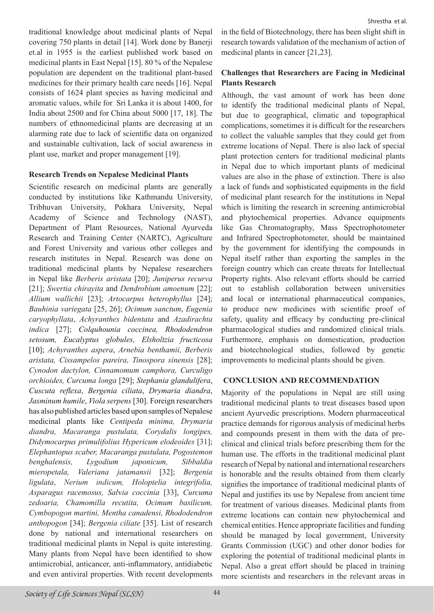traditional knowledge about medicinal plants of Nepal covering 750 plants in detail [14]. Work done by Banerji et.al in 1955 is the earliest published work based on medicinal plants in East Nepal [15]. 80 % of the Nepalese population are dependent on the traditional plant-based medicines for their primary health care needs [16]. Nepal consists of 1624 plant species as having medicinal and aromatic values, while for Sri Lanka it is about 1400, for India about 2500 and for China about 5000 [17, 18]. The numbers of ethnomedicinal plants are decreasing at an alarming rate due to lack of scientific data on organized and sustainable cultivation, lack of social awareness in plant use, market and proper management [19].

#### **Research Trends on Nepalese Medicinal Plants**

Scientific research on medicinal plants are generally conducted by institutions like Kathmandu University, Tribhuvan University, Pokhara University, Nepal Academy of Science and Technology (NAST), Department of Plant Resources, National Ayurveda Research and Training Center (NARTC), Agriculture and Forest University and various other colleges and research institutes in Nepal. Research was done on traditional medicinal plants by Nepalese researchers in Nepal like *Berberis aristata* [20]; *Juniperus recurva* [21]; *Swertia chirayita* and *Dendrobium amoenum* [22]; *Allium wallichii* [23]; *Artocarpus heterophyllus* [24]; *Bauhinia variegata* [25, 26]; *Ocimum sanctum*, *Eugenia caryophyllata*, *Achyranthes bidentata* and *Azadirachta indica* [27]; *Colquhounia coccinea, Rhododendron setosum, Eucalyptus globules, Elsholtzia fructicosa*  [10]; *Achyranthes aspera*, *Arnebia benthamii, Berberis aristata, Cissampelos pareira, Tinospora sinensis* [28]; *Cynodon dactylon, Cinnamomum camphora, Curculigo orchioides, Curcuma longa* [29]; *Stephania glandulifera*, *Cuscuta reflexa*, *Bergenia ciliata*, *Drymaria diandra*, *Jasminum humile*, *Viola serpens* [30]. Foreign researchers has also published articles based upon samples of Nepalese medicinal plants like *Centipeda minima, Drymaria diandra, Macaranga pustulata, Corydalis longipes, Didymocarpus primulifolius Hypericum elodeoides* [31]; *Elephantopus scaber, Macaranga pustulata, Pogostemon benghalensis, Lygodium japonicum, Sibbaldia mieropetala, Valeriana jatamansii* [32]; *Bergenia ligulata*, *Nerium indicum, Holoptelia integrifolia, Asparagus racemosus, Sal*v*ia coccinia* [33], *Curcuma zedoaria, Chamomilla recutita, Ocimum basilicum, Cymbopogon martini, Mentha canadensi, Rhododendron anthopogon* [34]; *Bergenia ciliate* [35]. List of research done by national and international researchers on traditional medicinal plants in Nepal is quite interesting. Many plants from Nepal have been identified to show antimicrobial, anticancer, anti-inflammatory, antidiabetic and even antiviral properties. With recent developments

in the field of Biotechnology, there has been slight shift in research towards validation of the mechanism of action of medicinal plants in cancer [21,23].

## **Challenges that Researchers are Facing in Medicinal Plants Research**

Although, the vast amount of work has been done to identify the traditional medicinal plants of Nepal, but due to geographical, climatic and topographical complications, sometimes it is difficult for the researchers to collect the valuable samples that they could get from extreme locations of Nepal. There is also lack of special plant protection centers for traditional medicinal plants in Nepal due to which important plants of medicinal values are also in the phase of extinction. There is also a lack of funds and sophisticated equipments in the field of medicinal plant research for the institutions in Nepal which is limiting the research in screening antimicrobial and phytochemical properties. Advance equipments like Gas Chromatography, Mass Spectrophotometer and Infrared Spectrophotometer, should be maintained by the government for identifying the compounds in Nepal itself rather than exporting the samples in the foreign country which can create threats for Intellectual Property rights. Also relevant efforts should be carried out to establish collaboration between universities and local or international pharmaceutical companies, to produce new medicines with scientific proof of safety, quality and efficacy by conducting pre-clinical pharmacological studies and randomized clinical trials. Furthermore, emphasis on domestication, production and biotechnological studies, followed by genetic improvements to medicinal plants should be given.

## **CONCLUSION AND RECOMMENDATION**

Majority of the populations in Nepal are still using traditional medicinal plants to treat diseases based upon ancient Ayurvedic prescriptions. Modern pharmaceutical practice demands for rigorous analysis of medicinal herbs and compounds present in them with the data of preclinical and clinical trials before prescribing them for the human use. The efforts in the traditional medicinal plant research of Nepal by national and international researchers is honorable and the results obtained from them clearly signifies the importance of traditional medicinal plants of Nepal and justifies its use by Nepalese from ancient time for treatment of various diseases. Medicinal plants from extreme locations can contain new phytochemical and chemical entities. Hence appropriate facilities and funding should be managed by local government, University Grants Commission (UGC) and other donor bodies for exploring the potential of traditional medicinal plants in Nepal. Also a great effort should be placed in training more scientists and researchers in the relevant areas in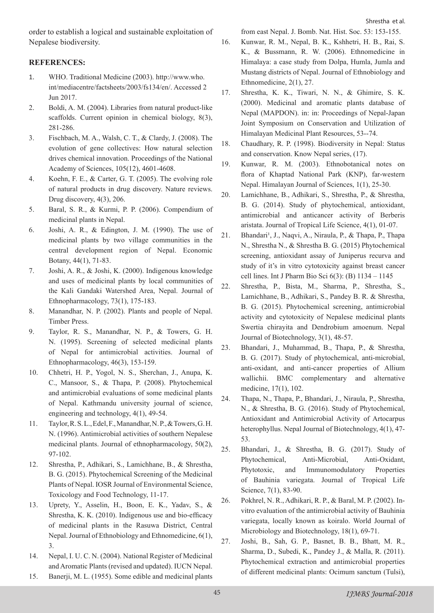Shrestha et al.

order to establish a logical and sustainable exploitation of Nepalese biodiversity.

### **REFERENCES:**

- 1. WHO. Traditional Medicine (2003). http://www.who. int/mediacentre/factsheets/2003/fs134/en/. Accessed 2 Jun 2017.
- 2. Boldi, A. M. (2004). Libraries from natural product-like scaffolds. Current opinion in chemical biology, 8(3), 281-286.
- 3. Fischbach, M. A., Walsh, C. T., & Clardy, J. (2008). The evolution of gene collectives: How natural selection drives chemical innovation. Proceedings of the National Academy of Sciences, 105(12), 4601-4608.
- 4. Koehn, F. E., & Carter, G. T. (2005). The evolving role of natural products in drug discovery. Nature reviews. Drug discovery, 4(3), 206.
- 5. Baral, S. R., & Kurmi, P. P. (2006). Compendium of medicinal plants in Nepal.
- 6. Joshi, A. R., & Edington, J. M. (1990). The use of medicinal plants by two village communities in the central development region of Nepal. Economic Botany, 44(1), 71-83.
- 7. Joshi, A. R., & Joshi, K. (2000). Indigenous knowledge and uses of medicinal plants by local communities of the Kali Gandaki Watershed Area, Nepal. Journal of Ethnopharmacology, 73(1), 175-183.
- 8. Manandhar, N. P. (2002). Plants and people of Nepal. Timber Press.
- 9. Taylor, R. S., Manandhar, N. P., & Towers, G. H. N. (1995). Screening of selected medicinal plants of Nepal for antimicrobial activities. Journal of Ethnopharmacology, 46(3), 153-159.
- 10. Chhetri, H. P., Yogol, N. S., Sherchan, J., Anupa, K. C., Mansoor, S., & Thapa, P. (2008). Phytochemical and antimicrobial evaluations of some medicinal plants of Nepal. Kathmandu university journal of science, engineering and technology, 4(1), 49-54.
- 11. Taylor, R. S. L., Edel, F., Manandhar, N. P., & Towers, G. H. N. (1996). Antimicrobial activities of southern Nepalese medicinal plants. Journal of ethnopharmacology, 50(2), 97-102.
- 12. Shrestha, P., Adhikari, S., Lamichhane, B., & Shrestha, B. G. (2015). Phytochemical Screening of the Medicinal Plants of Nepal. IOSR Journal of Environmental Science, Toxicology and Food Technology, 11-17.
- 13. Uprety, Y., Asselin, H., Boon, E. K., Yadav, S., & Shrestha, K. K. (2010). Indigenous use and bio-efficacy of medicinal plants in the Rasuwa District, Central Nepal.Journal of Ethnobiology and Ethnomedicine, 6(1), 3.
- 14. Nepal, I. U. C. N. (2004). National Register of Medicinal and Aromatic Plants (revised and updated). IUCN Nepal.
- 15. Banerji, M. L. (1955). Some edible and medicinal plants

from east Nepal. J. Bomb. Nat. Hist. Soc. 53: 153-155.

- 16. Kunwar, R. M., Nepal, B. K., Kshhetri, H. B., Rai, S. K., & Bussmann, R. W. (2006). Ethnomedicine in Himalaya: a case study from Dolpa, Humla, Jumla and Mustang districts of Nepal. Journal of Ethnobiology and Ethnomedicine, 2(1), 27.
- 17. Shrestha, K. K., Tiwari, N. N., & Ghimire, S. K. (2000). Medicinal and aromatic plants database of Nepal (MAPDON). in: in: Proceedings of Nepal-Japan Joint Symposium on Conservation and Utilization of Himalayan Medicinal Plant Resources, 53--74.
- 18. Chaudhary, R. P. (1998). Biodiversity in Nepal: Status and conservation. Know Nepal series, (17).
- 19. Kunwar, R. M. (2003). Ethnobotanical notes on flora of Khaptad National Park (KNP), far-western Nepal. Himalayan Journal of Sciences, 1(1), 25-30.
- 20. Lamichhane, B., Adhikari, S., Shrestha, P., & Shrestha, B. G. (2014). Study of phytochemical, antioxidant, antimicrobial and anticancer activity of Berberis aristata. Journal of Tropical Life Science, 4(1), 01-07.
- 21. Bhandari<sup>1</sup>, J., Naqvi, A., Niraula, P., & Thapa, P., Thapa N., Shrestha N., & Shrestha B. G. (2015) Phytochemical screening, antioxidant assay of Juniperus recurva and study of it's in vitro cytotoxicity against breast cancer cell lines. Int J Pharm Bio Sci 6(3): (B) 1134 – 1145
- 22. Shrestha, P., Bista, M., Sharma, P., Shrestha, S., Lamichhane, B., Adhikari, S., Pandey B. R. & Shrestha, B. G. (2015). Phytochemical screening, antimicrobial activity and cytotoxicity of Nepalese medicinal plants Swertia chirayita and Dendrobium amoenum. Nepal Journal of Biotechnology, 3(1), 48-57.
- 23. Bhandari, J., Muhammad, B., Thapa, P., & Shrestha, B. G. (2017). Study of phytochemical, anti-microbial, anti-oxidant, and anti-cancer properties of Allium wallichii. BMC complementary and alternative medicine, 17(1), 102.
- 24. Thapa, N., Thapa, P., Bhandari, J., Niraula, P., Shrestha, N., & Shrestha, B. G. (2016). Study of Phytochemical, Antioxidant and Antimicrobial Activity of Artocarpus heterophyllus. Nepal Journal of Biotechnology, 4(1), 47- 53.
- 25. Bhandari, J., & Shrestha, B. G. (2017). Study of Phytochemical, Anti-Microbial, Anti-Oxidant, Phytotoxic, and Immunomodulatory Properties of Bauhinia variegata. Journal of Tropical Life Science, 7(1), 83-90.
- 26. Pokhrel, N. R., Adhikari, R. P., & Baral, M. P. (2002). Invitro evaluation of the antimicrobial activity of Bauhinia variegata, locally known as koiralo. World Journal of Microbiology and Biotechnology, 18(1), 69-71.
- 27. Joshi, B., Sah, G. P., Basnet, B. B., Bhatt, M. R., Sharma, D., Subedi, K., Pandey J., & Malla, R. (2011). Phytochemical extraction and antimicrobial properties of different medicinal plants: Ocimum sanctum (Tulsi),